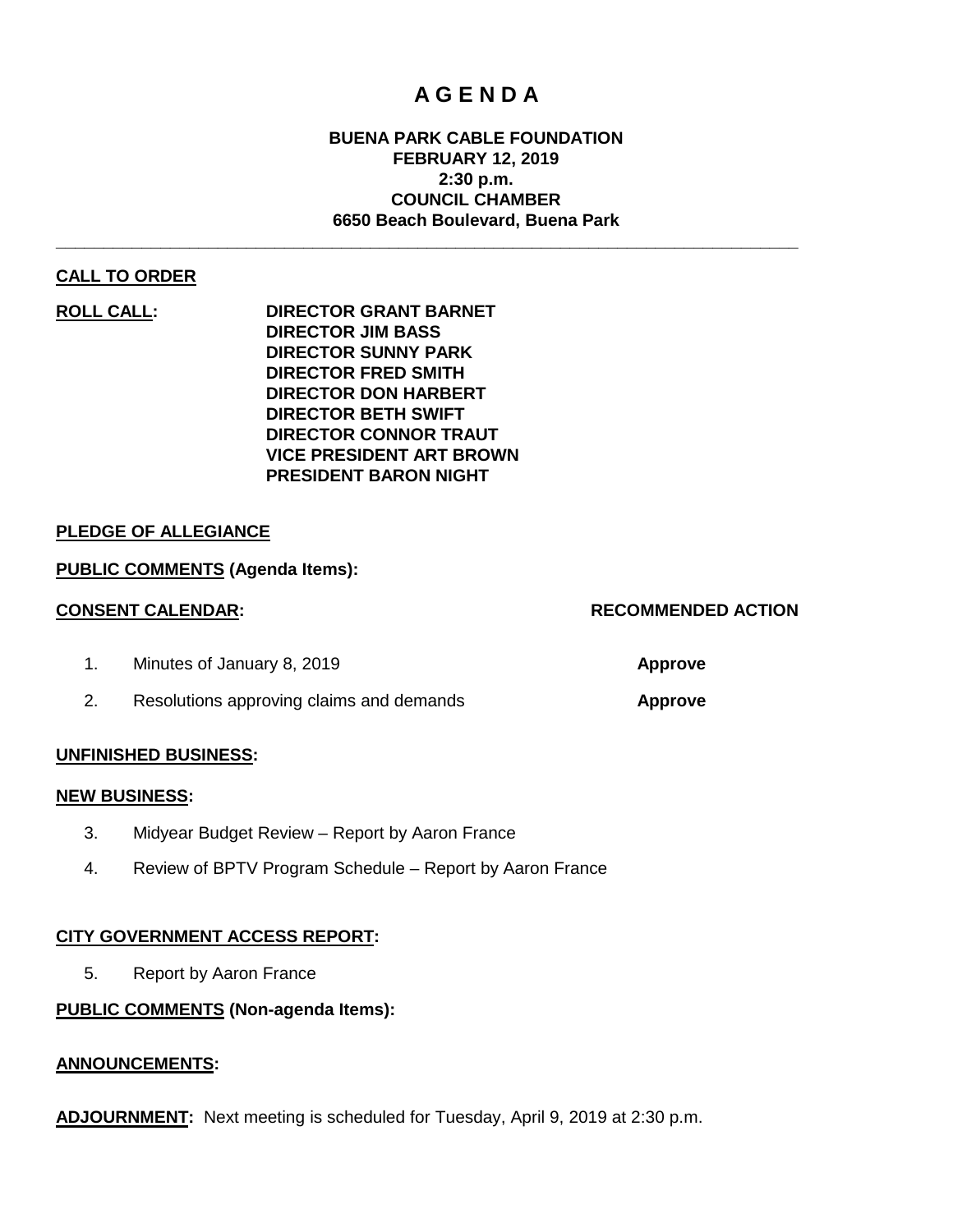### **A G E N D A**

#### **BUENA PARK CABLE FOUNDATION FEBRUARY 12, 2019 2:30 p.m. COUNCIL CHAMBER 6650 Beach Boulevard, Buena Park**

**\_\_\_\_\_\_\_\_\_\_\_\_\_\_\_\_\_\_\_\_\_\_\_\_\_\_\_\_\_\_\_\_\_\_\_\_\_\_\_\_\_\_\_\_\_\_\_\_\_\_\_\_\_\_\_\_\_\_\_\_\_\_\_\_\_\_\_\_\_\_\_\_\_\_\_\_\_\_**

#### **CALL TO ORDER**

**ROLL CALL: DIRECTOR GRANT BARNET DIRECTOR JIM BASS DIRECTOR SUNNY PARK DIRECTOR FRED SMITH DIRECTOR DON HARBERT DIRECTOR BETH SWIFT DIRECTOR CONNOR TRAUT VICE PRESIDENT ART BROWN PRESIDENT BARON NIGHT**

#### **PLEDGE OF ALLEGIANCE**

#### **PUBLIC COMMENTS (Agenda Items):**

#### **CONSENT CALENDAR: RECOMMENDED ACTION**

# 1. Minutes of January 8, 2019 **Approve**

2. Resolutions approving claims and demands **Approve**

#### **UNFINISHED BUSINESS:**

#### **NEW BUSINESS:**

- 3. Midyear Budget Review Report by Aaron France
- 4. Review of BPTV Program Schedule Report by Aaron France

#### **CITY GOVERNMENT ACCESS REPORT:**

5. Report by Aaron France

#### **PUBLIC COMMENTS (Non-agenda Items):**

#### **ANNOUNCEMENTS:**

**ADJOURNMENT:** Next meeting is scheduled for Tuesday, April 9, 2019 at 2:30 p.m.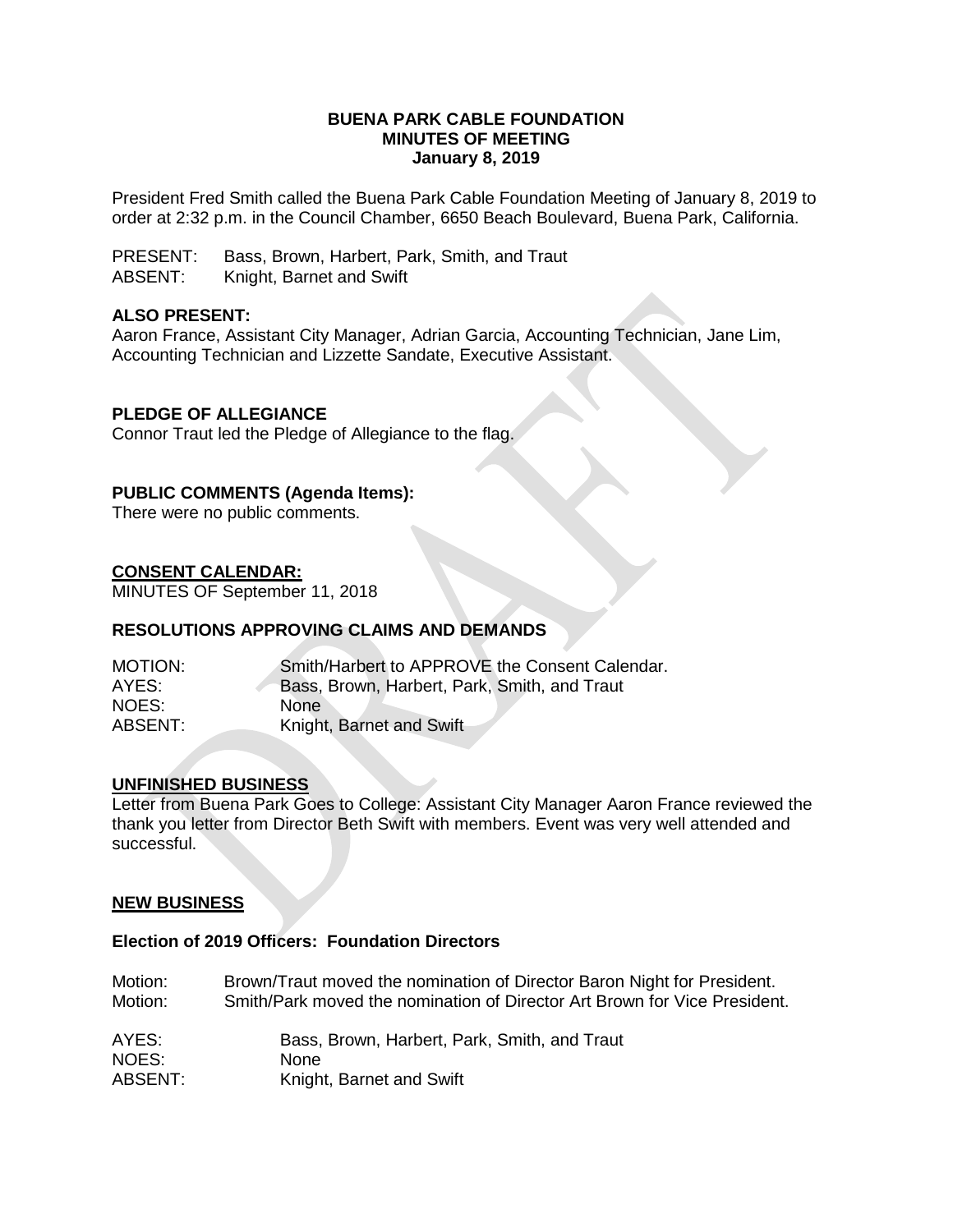#### **BUENA PARK CABLE FOUNDATION MINUTES OF MEETING January 8, 2019**

President Fred Smith called the Buena Park Cable Foundation Meeting of January 8, 2019 to order at 2:32 p.m. in the Council Chamber, 6650 Beach Boulevard, Buena Park, California.

PRESENT: Bass, Brown, Harbert, Park, Smith, and Traut ABSENT: Knight, Barnet and Swift

#### **ALSO PRESENT:**

Aaron France, Assistant City Manager, Adrian Garcia, Accounting Technician, Jane Lim, Accounting Technician and Lizzette Sandate, Executive Assistant.

#### **PLEDGE OF ALLEGIANCE**

Connor Traut led the Pledge of Allegiance to the flag.

#### **PUBLIC COMMENTS (Agenda Items):**

There were no public comments.

#### **CONSENT CALENDAR:**

MINUTES OF September 11, 2018

#### **RESOLUTIONS APPROVING CLAIMS AND DEMANDS**

| MOTION: | Smith/Harbert to APPROVE the Consent Calendar. |
|---------|------------------------------------------------|
| AYES:   | Bass, Brown, Harbert, Park, Smith, and Traut   |
| NOES:   | <b>None</b>                                    |
| ABSENT: | Knight, Barnet and Swift                       |

#### **UNFINISHED BUSINESS**

Letter from Buena Park Goes to College: Assistant City Manager Aaron France reviewed the thank you letter from Director Beth Swift with members. Event was very well attended and successful.

#### **NEW BUSINESS**

#### **Election of 2019 Officers: Foundation Directors**

| Motion: | Brown/Traut moved the nomination of Director Baron Night for President.   |
|---------|---------------------------------------------------------------------------|
| Motion: | Smith/Park moved the nomination of Director Art Brown for Vice President. |
| AYES:   | Bass, Brown, Harbert, Park, Smith, and Traut                              |
| NOES:   | <b>None</b>                                                               |
| ABSENT: | Knight, Barnet and Swift                                                  |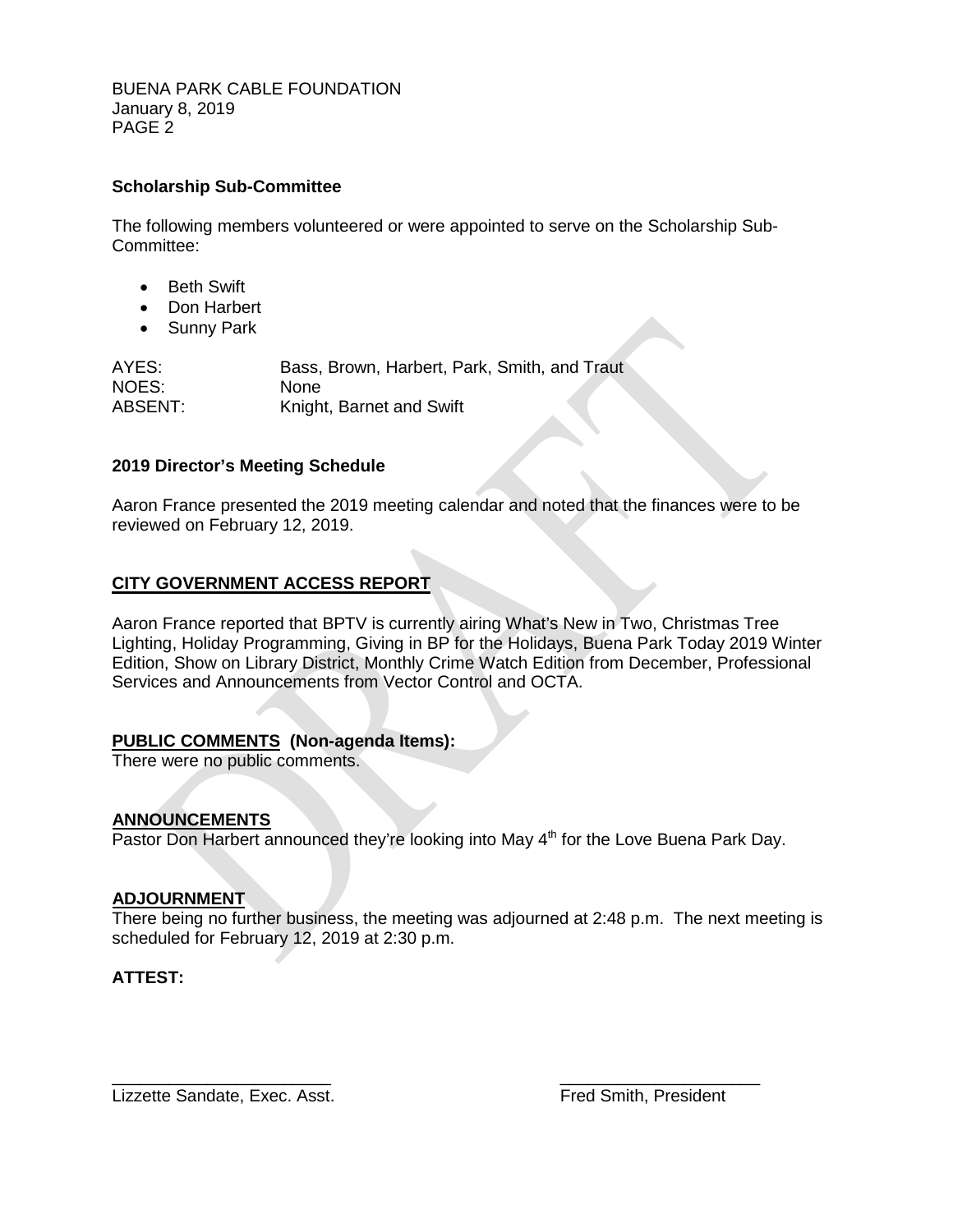BUENA PARK CABLE FOUNDATION January 8, 2019 PAGE 2

#### **Scholarship Sub-Committee**

The following members volunteered or were appointed to serve on the Scholarship Sub-Committee:

- Beth Swift
- Don Harbert
- Sunny Park

AYES: Bass, Brown, Harbert, Park, Smith, and Traut NOES: None ABSENT: Knight, Barnet and Swift

#### **2019 Director's Meeting Schedule**

Aaron France presented the 2019 meeting calendar and noted that the finances were to be reviewed on February 12, 2019.

#### **CITY GOVERNMENT ACCESS REPORT**

Aaron France reported that BPTV is currently airing What's New in Two, Christmas Tree Lighting, Holiday Programming, Giving in BP for the Holidays, Buena Park Today 2019 Winter Edition, Show on Library District, Monthly Crime Watch Edition from December, Professional Services and Announcements from Vector Control and OCTA.

#### **PUBLIC COMMENTS (Non-agenda Items):**

There were no public comments.

#### **ANNOUNCEMENTS**

Pastor Don Harbert announced they're looking into May 4<sup>th</sup> for the Love Buena Park Day.

#### **ADJOURNMENT**

There being no further business, the meeting was adjourned at 2:48 p.m. The next meeting is scheduled for February 12, 2019 at 2:30 p.m.

#### **ATTEST:**

Lizzette Sandate, Exec. Asst. The Controller of the Smith, President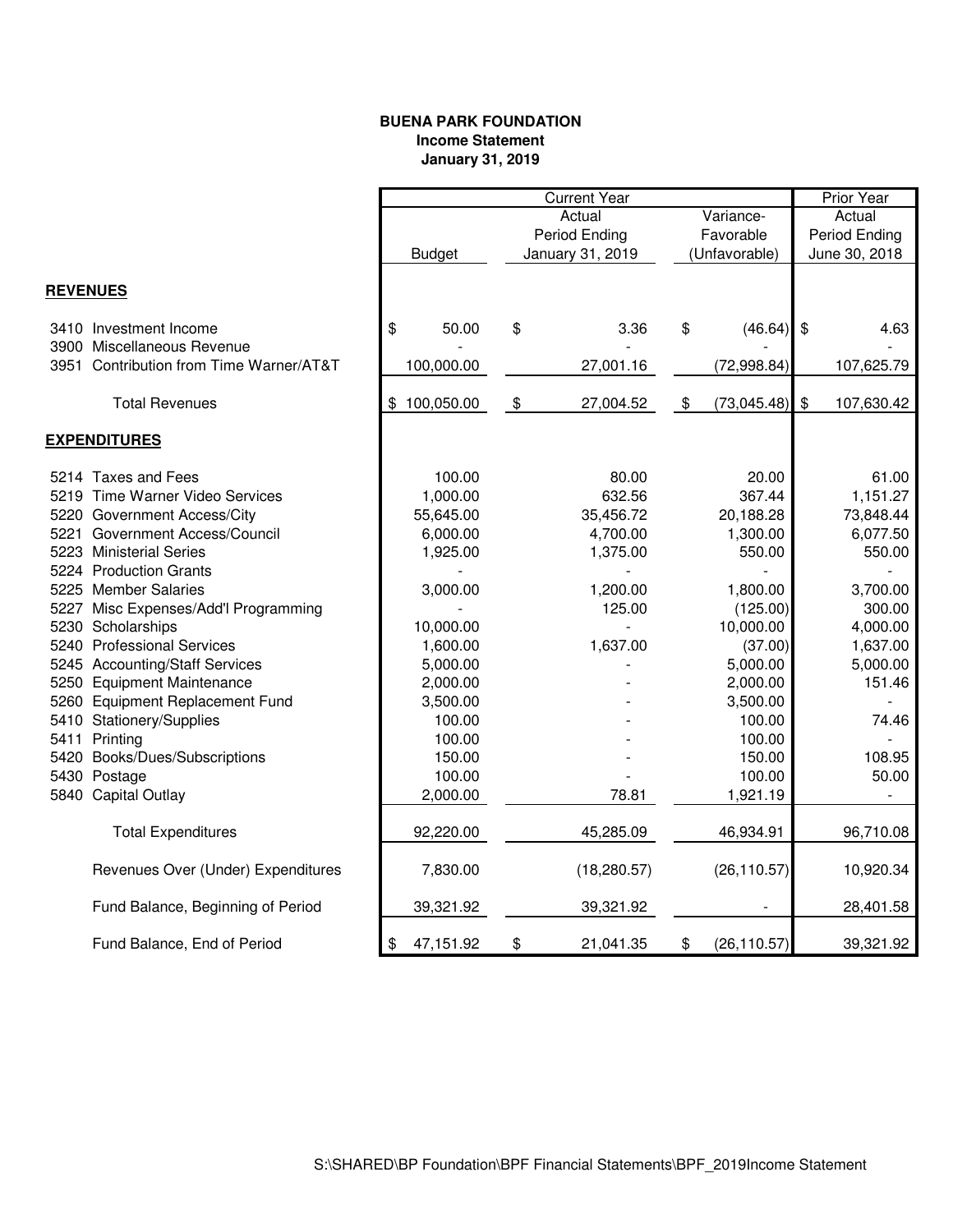#### **BUENA PARK FOUNDATION Income Statement January 31, 2019**

|                 |                                         |                  | <b>Current Year</b> |               |               | Prior Year   |               |            |
|-----------------|-----------------------------------------|------------------|---------------------|---------------|---------------|--------------|---------------|------------|
|                 |                                         |                  | Actual<br>Variance- |               |               | Actual       |               |            |
|                 |                                         |                  |                     | Period Ending | Favorable     |              | Period Ending |            |
|                 |                                         | <b>Budget</b>    | January 31, 2019    |               | (Unfavorable) |              | June 30, 2018 |            |
|                 |                                         |                  |                     |               |               |              |               |            |
| <b>REVENUES</b> |                                         |                  |                     |               |               |              |               |            |
|                 | 3410 Investment Income                  | \$<br>50.00      | \$                  | 3.36          | \$            | $(46.64)$ \$ |               | 4.63       |
|                 | 3900 Miscellaneous Revenue              |                  |                     |               |               |              |               |            |
|                 | 3951 Contribution from Time Warner/AT&T | 100,000.00       |                     | 27,001.16     |               | (72,998.84)  |               | 107,625.79 |
|                 | <b>Total Revenues</b>                   | 100,050.00<br>\$ | $\boldsymbol{\$}$   | 27,004.52     | $\$\$         | (73,045.48)  | $\$\$         | 107,630.42 |
|                 | <b>EXPENDITURES</b>                     |                  |                     |               |               |              |               |            |
|                 | 5214 Taxes and Fees                     | 100.00           |                     | 80.00         |               | 20.00        |               | 61.00      |
|                 | 5219 Time Warner Video Services         | 1,000.00         |                     | 632.56        |               | 367.44       |               | 1,151.27   |
|                 | 5220 Government Access/City             | 55,645.00        |                     | 35,456.72     |               | 20,188.28    |               | 73,848.44  |
|                 | 5221 Government Access/Council          | 6,000.00         |                     | 4,700.00      |               | 1,300.00     |               | 6,077.50   |
|                 | 5223 Ministerial Series                 | 1,925.00         |                     | 1,375.00      |               | 550.00       |               | 550.00     |
|                 | 5224 Production Grants                  |                  |                     |               |               |              |               |            |
|                 | 5225 Member Salaries                    | 3,000.00         |                     | 1,200.00      |               | 1,800.00     |               | 3,700.00   |
|                 | 5227 Misc Expenses/Add'l Programming    |                  |                     | 125.00        |               | (125.00)     |               | 300.00     |
|                 | 5230 Scholarships                       | 10,000.00        |                     |               |               | 10,000.00    |               | 4,000.00   |
|                 | 5240 Professional Services              | 1,600.00         |                     | 1,637.00      |               | (37.00)      |               | 1,637.00   |
|                 | 5245 Accounting/Staff Services          | 5,000.00         |                     |               |               | 5,000.00     |               | 5,000.00   |
|                 | 5250 Equipment Maintenance              | 2,000.00         |                     |               |               | 2,000.00     |               | 151.46     |
|                 | 5260 Equipment Replacement Fund         | 3,500.00         |                     |               |               | 3,500.00     |               |            |
|                 | 5410 Stationery/Supplies                | 100.00           |                     |               |               | 100.00       |               | 74.46      |
|                 | 5411 Printing                           | 100.00           |                     |               |               | 100.00       |               |            |
|                 | 5420 Books/Dues/Subscriptions           | 150.00           |                     |               |               | 150.00       |               | 108.95     |
|                 | 5430 Postage                            | 100.00           |                     |               |               | 100.00       |               | 50.00      |
|                 | 5840 Capital Outlay                     | 2,000.00         |                     | 78.81         |               | 1,921.19     |               |            |
|                 | <b>Total Expenditures</b>               | 92,220.00        |                     | 45,285.09     |               | 46,934.91    |               | 96,710.08  |
|                 |                                         |                  |                     |               |               |              |               |            |
|                 | Revenues Over (Under) Expenditures      | 7,830.00         |                     | (18, 280.57)  |               | (26, 110.57) |               | 10,920.34  |
|                 | Fund Balance, Beginning of Period       | 39,321.92        |                     | 39,321.92     |               |              |               | 28,401.58  |
|                 | Fund Balance, End of Period             | 47,151.92<br>\$  | \$                  | 21,041.35     | \$            | (26, 110.57) |               | 39,321.92  |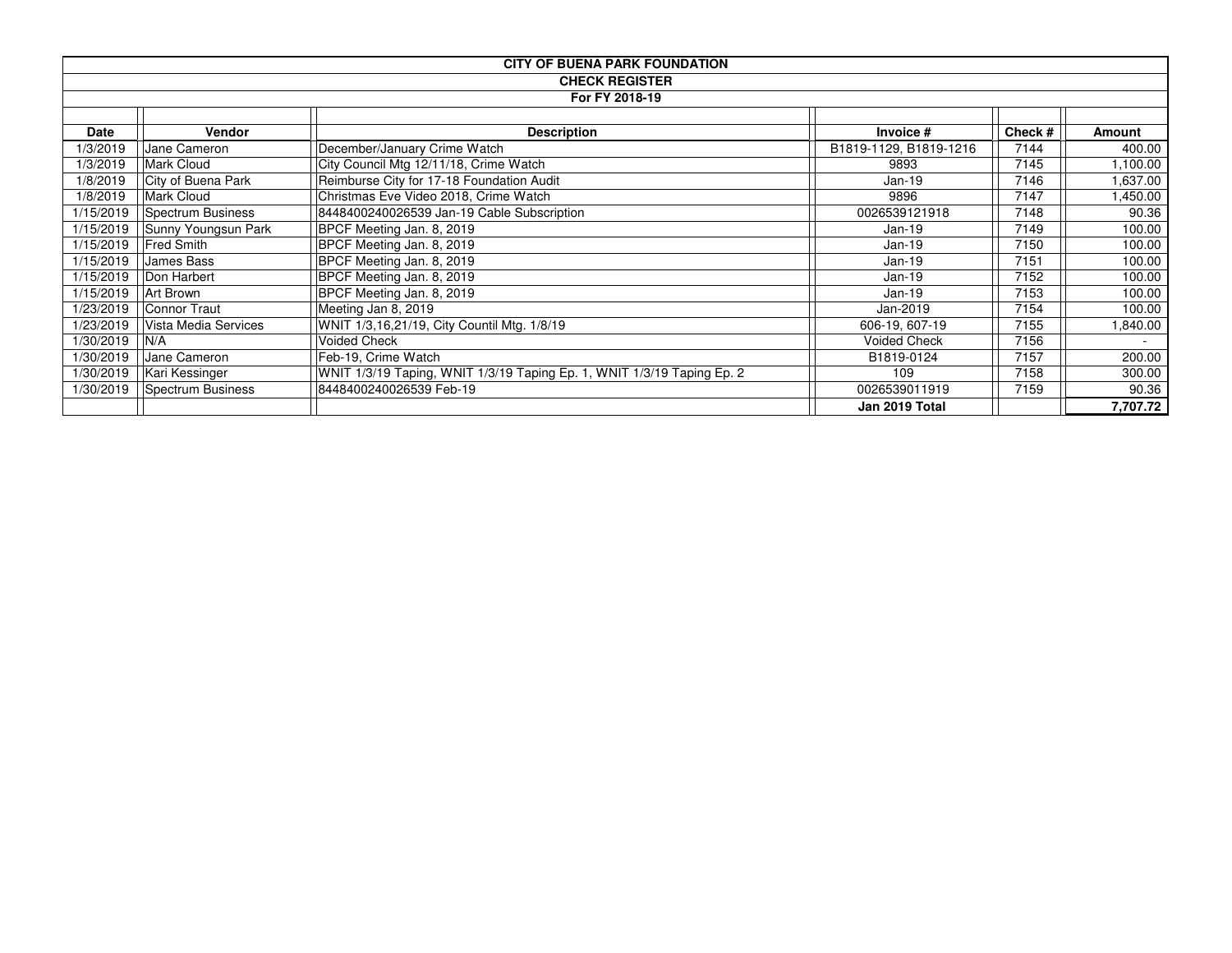| <b>CITY OF BUENA PARK FOUNDATION</b> |                      |                                                                        |                        |        |          |  |  |
|--------------------------------------|----------------------|------------------------------------------------------------------------|------------------------|--------|----------|--|--|
| <b>CHECK REGISTER</b>                |                      |                                                                        |                        |        |          |  |  |
|                                      |                      | For FY 2018-19                                                         |                        |        |          |  |  |
|                                      |                      |                                                                        |                        |        |          |  |  |
| <b>Date</b>                          | <b>Vendor</b>        | <b>Description</b>                                                     | Invoice #              | Check# | Amount   |  |  |
| 1/3/2019                             | Jane Cameron         | December/January Crime Watch                                           | B1819-1129, B1819-1216 | 7144   | 400.00   |  |  |
| 1/3/2019                             | <b>Mark Cloud</b>    | City Council Mtg 12/11/18, Crime Watch                                 | 9893                   | 7145   | 1,100.00 |  |  |
| 1/8/2019                             | City of Buena Park   | Reimburse City for 17-18 Foundation Audit                              | $Jan-19$               | 7146   | 1,637.00 |  |  |
| 1/8/2019                             | <b>Mark Cloud</b>    | Christmas Eve Video 2018, Crime Watch                                  | 9896                   | 7147   | 1,450.00 |  |  |
| 1/15/2019                            | Spectrum Business    | 8448400240026539 Jan-19 Cable Subscription                             | 0026539121918          | 7148   | 90.36    |  |  |
| 1/15/2019                            | Sunny Youngsun Park  | BPCF Meeting Jan. 8, 2019                                              | Jan-19                 | 7149   | 100.00   |  |  |
| 1/15/2019                            | <b>Fred Smith</b>    | BPCF Meeting Jan. 8, 2019                                              | Jan-19                 | 7150   | 100.00   |  |  |
| 1/15/2019                            | James Bass           | BPCF Meeting Jan. 8, 2019                                              | Jan-19                 | 7151   | 100.00   |  |  |
| 1/15/2019                            | Don Harbert          | BPCF Meeting Jan. 8, 2019                                              | $Jan-19$               | 7152   | 100.00   |  |  |
| 1/15/2019                            | Art Brown            | BPCF Meeting Jan. 8, 2019                                              | Jan-19                 | 7153   | 100.00   |  |  |
| 1/23/2019                            | Connor Traut         | Meeting Jan 8, 2019                                                    | Jan-2019               | 7154   | 100.00   |  |  |
| 1/23/2019                            | Vista Media Services | WNIT 1/3,16,21/19, City Countil Mtg. 1/8/19                            | 606-19, 607-19         | 7155   | 1,840.00 |  |  |
| 1/30/2019                            | N/A                  | <b>Voided Check</b>                                                    | <b>Voided Check</b>    | 7156   |          |  |  |
| 1/30/2019                            | Jane Cameron         | Feb-19, Crime Watch                                                    | B1819-0124             | 7157   | 200.00   |  |  |
| 1/30/2019                            | Kari Kessinger       | WNIT 1/3/19 Taping, WNIT 1/3/19 Taping Ep. 1, WNIT 1/3/19 Taping Ep. 2 | 109                    | 7158   | 300.00   |  |  |
| 1/30/2019                            | Spectrum Business    | 8448400240026539 Feb-19                                                | 0026539011919          | 7159   | 90.36    |  |  |
|                                      |                      |                                                                        | Jan 2019 Total         |        | 7,707.72 |  |  |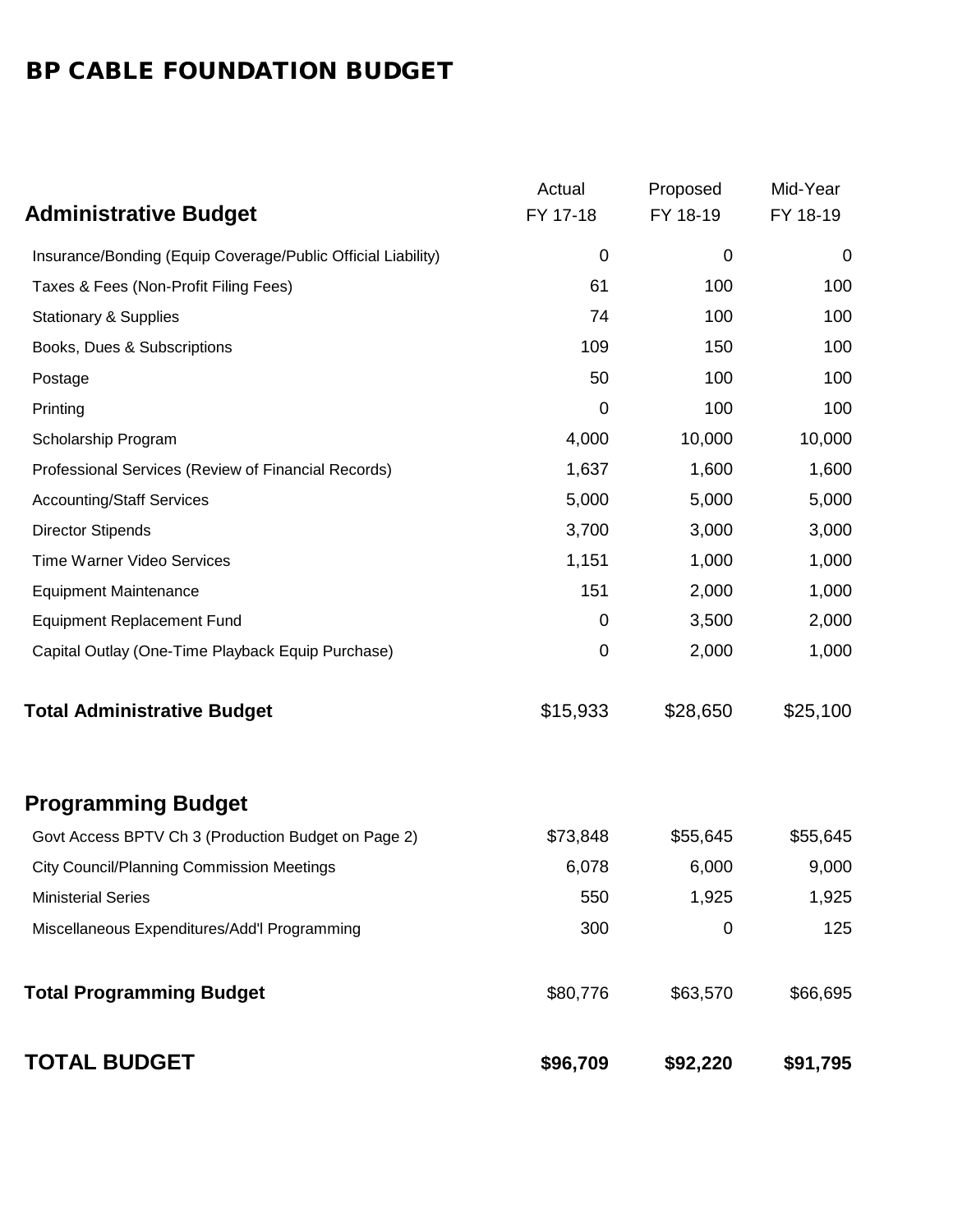## BP CABLE FOUNDATION BUDGET

|                                                              | Actual           | Proposed | Mid-Year |
|--------------------------------------------------------------|------------------|----------|----------|
| <b>Administrative Budget</b>                                 | FY 17-18         | FY 18-19 | FY 18-19 |
| Insurance/Bonding (Equip Coverage/Public Official Liability) | $\boldsymbol{0}$ | 0        | 0        |
| Taxes & Fees (Non-Profit Filing Fees)                        | 61               | 100      | 100      |
| <b>Stationary &amp; Supplies</b>                             | 74               | 100      | 100      |
| Books, Dues & Subscriptions                                  | 109              | 150      | 100      |
| Postage                                                      | 50               | 100      | 100      |
| Printing                                                     | 0                | 100      | 100      |
| Scholarship Program                                          | 4,000            | 10,000   | 10,000   |
| Professional Services (Review of Financial Records)          | 1,637            | 1,600    | 1,600    |
| <b>Accounting/Staff Services</b>                             | 5,000            | 5,000    | 5,000    |
| <b>Director Stipends</b>                                     | 3,700            | 3,000    | 3,000    |
| Time Warner Video Services                                   | 1,151            | 1,000    | 1,000    |
| <b>Equipment Maintenance</b>                                 | 151              | 2,000    | 1,000    |
| <b>Equipment Replacement Fund</b>                            | 0                | 3,500    | 2,000    |
| Capital Outlay (One-Time Playback Equip Purchase)            | $\mathbf 0$      | 2,000    | 1,000    |
| <b>Total Administrative Budget</b>                           | \$15,933         | \$28,650 | \$25,100 |
| <b>Programming Budget</b>                                    |                  |          |          |
| Govt Access BPTV Ch 3 (Production Budget on Page 2)          | \$73,848         | \$55,645 | \$55,645 |
| <b>City Council/Planning Commission Meetings</b>             | 6,078            | 6,000    | 9,000    |
| <b>Ministerial Series</b>                                    | 550              | 1,925    | 1,925    |
| Miscellaneous Expenditures/Add'l Programming                 | 300              | 0        | 125      |
| <b>Total Programming Budget</b>                              | \$80,776         | \$63,570 | \$66,695 |
| <b>TOTAL BUDGET</b>                                          | \$96,709         | \$92,220 | \$91,795 |